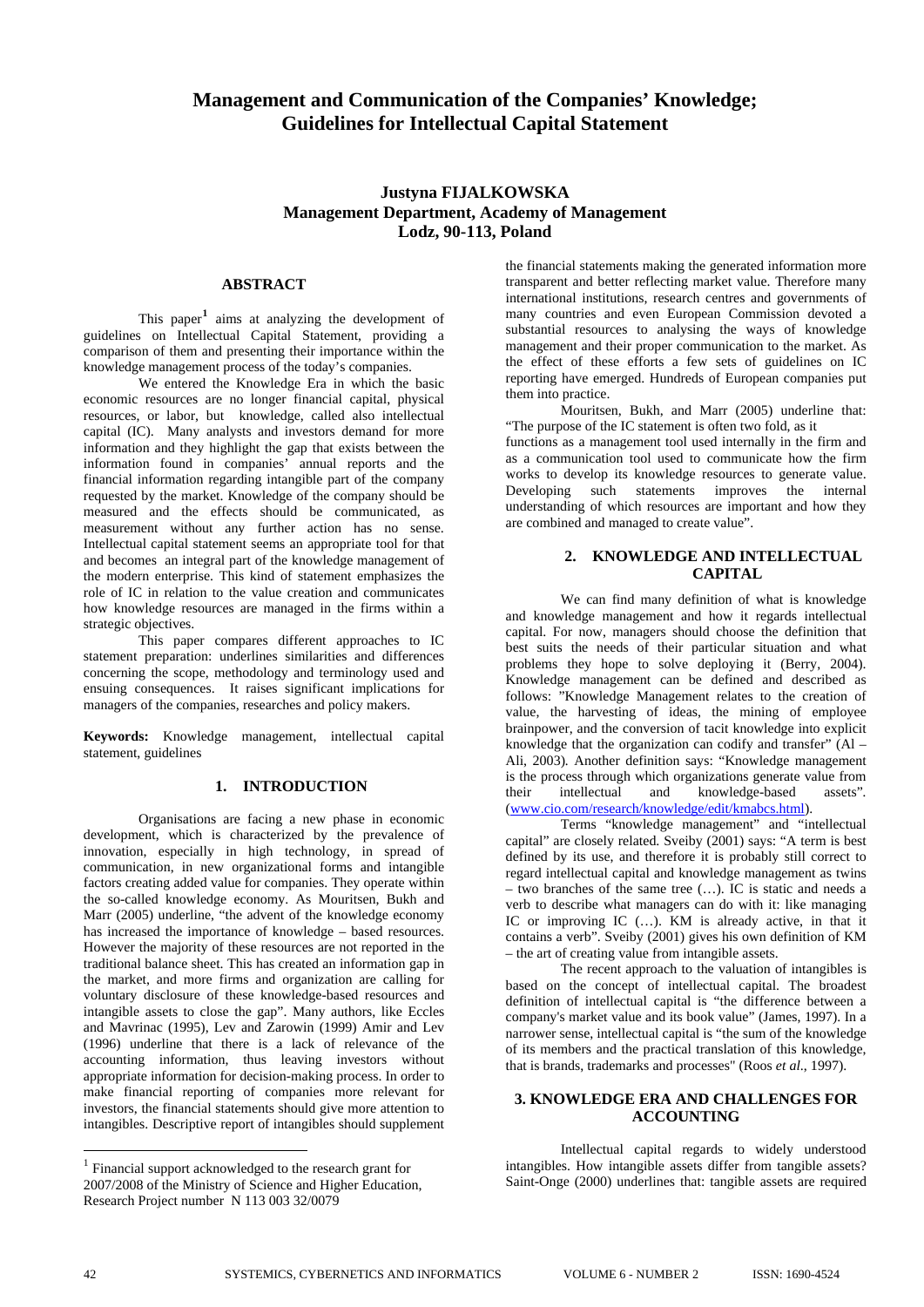# **Management and Communication of the Companies' Knowledge; Guidelines for Intellectual Capital Statement**

## **Justyna FIJALKOWSKA Management Department, Academy of Management Lodz, 90-113, Poland**

## **ABSTRACT**

This paper<sup>[1](#page-0-0)</sup> aims at analyzing the development of guidelines on Intellectual Capital Statement, providing a comparison of them and presenting their importance within the knowledge management process of the today's companies.

We entered the Knowledge Era in which the basic economic resources are no longer financial capital, physical resources, or labor, but knowledge, called also intellectual capital (IC). Many analysts and investors demand for more information and they highlight the gap that exists between the information found in companies' annual reports and the financial information regarding intangible part of the company requested by the market. Knowledge of the company should be measured and the effects should be communicated, as measurement without any further action has no sense. Intellectual capital statement seems an appropriate tool for that and becomes an integral part of the knowledge management of the modern enterprise. This kind of statement emphasizes the role of IC in relation to the value creation and communicates how knowledge resources are managed in the firms within a strategic objectives.

This paper compares different approaches to IC statement preparation: underlines similarities and differences concerning the scope, methodology and terminology used and ensuing consequences. It raises significant implications for managers of the companies, researches and policy makers.

**Keywords:** Knowledge management, intellectual capital statement, guidelines

#### **1. INTRODUCTION**

Organisations are facing a new phase in economic development, which is characterized by the prevalence of innovation, especially in high technology, in spread of communication, in new organizational forms and intangible factors creating added value for companies. They operate within the so-called knowledge economy. As Mouritsen, Bukh and Marr (2005) underline, "the advent of the knowledge economy has increased the importance of knowledge – based resources. However the majority of these resources are not reported in the traditional balance sheet. This has created an information gap in the market, and more firms and organization are calling for voluntary disclosure of these knowledge-based resources and intangible assets to close the gap". Many authors, like Eccles and Mavrinac (1995), Lev and Zarowin (1999) Amir and Lev (1996) underline that there is a lack of relevance of the accounting information, thus leaving investors without appropriate information for decision-making process. In order to make financial reporting of companies more relevant for investors, the financial statements should give more attention to intangibles. Descriptive report of intangibles should supplement

the financial statements making the generated information more transparent and better reflecting market value. Therefore many international institutions, research centres and governments of many countries and even European Commission devoted a substantial resources to analysing the ways of knowledge management and their proper communication to the market. As the effect of these efforts a few sets of guidelines on IC reporting have emerged. Hundreds of European companies put them into practice.

Mouritsen, Bukh, and Marr (2005) underline that: "The purpose of the IC statement is often two fold, as it

functions as a management tool used internally in the firm and as a communication tool used to communicate how the firm works to develop its knowledge resources to generate value. Developing such statements improves the internal understanding of which resources are important and how they are combined and managed to create value".

## **2. KNOWLEDGE AND INTELLECTUAL CAPITAL**

We can find many definition of what is knowledge and knowledge management and how it regards intellectual capital. For now, managers should choose the definition that best suits the needs of their particular situation and what problems they hope to solve deploying it (Berry, 2004). Knowledge management can be defined and described as follows: "Knowledge Management relates to the creation of value, the harvesting of ideas, the mining of employee brainpower, and the conversion of tacit knowledge into explicit knowledge that the organization can codify and transfer" (Al – Ali, 2003)*.* Another definition says: "Knowledge management is the process through which organizations generate value from their intellectual and knowledge-based assets"*.* ([www.cio.com/research/knowledge/edit/kmabcs.html\)](http://www.cio.com/research/knowledge/edit/kmabcs.html).

Terms "knowledge management" and "intellectual capital" are closely related. Sveiby (2001) says: "A term is best defined by its use, and therefore it is probably still correct to regard intellectual capital and knowledge management as twins – two branches of the same tree (…). IC is static and needs a verb to describe what managers can do with it: like managing IC or improving IC (…). KM is already active, in that it contains a verb". Sveiby (2001) gives his own definition of KM – the art of creating value from intangible assets.

The recent approach to the valuation of intangibles is based on the concept of intellectual capital. The broadest definition of intellectual capital is "the difference between a company's market value and its book value" (James, 1997). In a narrower sense, intellectual capital is "the sum of the knowledge of its members and the practical translation of this knowledge, that is brands, trademarks and processes" (Roos *et al*., 1997).

## **3. KNOWLEDGE ERA AND CHALLENGES FOR ACCOUNTING**

Intellectual capital regards to widely understood intangibles. How intangible assets differ from tangible assets? Saint-Onge (2000) underlines that: tangible assets are required

 $\overline{a}$ 

<span id="page-0-0"></span><sup>&</sup>lt;sup>1</sup> Financial support acknowledged to the research grant for 2007/2008 of the Ministry of Science and Higher Education, Research Project number N 113 003 32/0079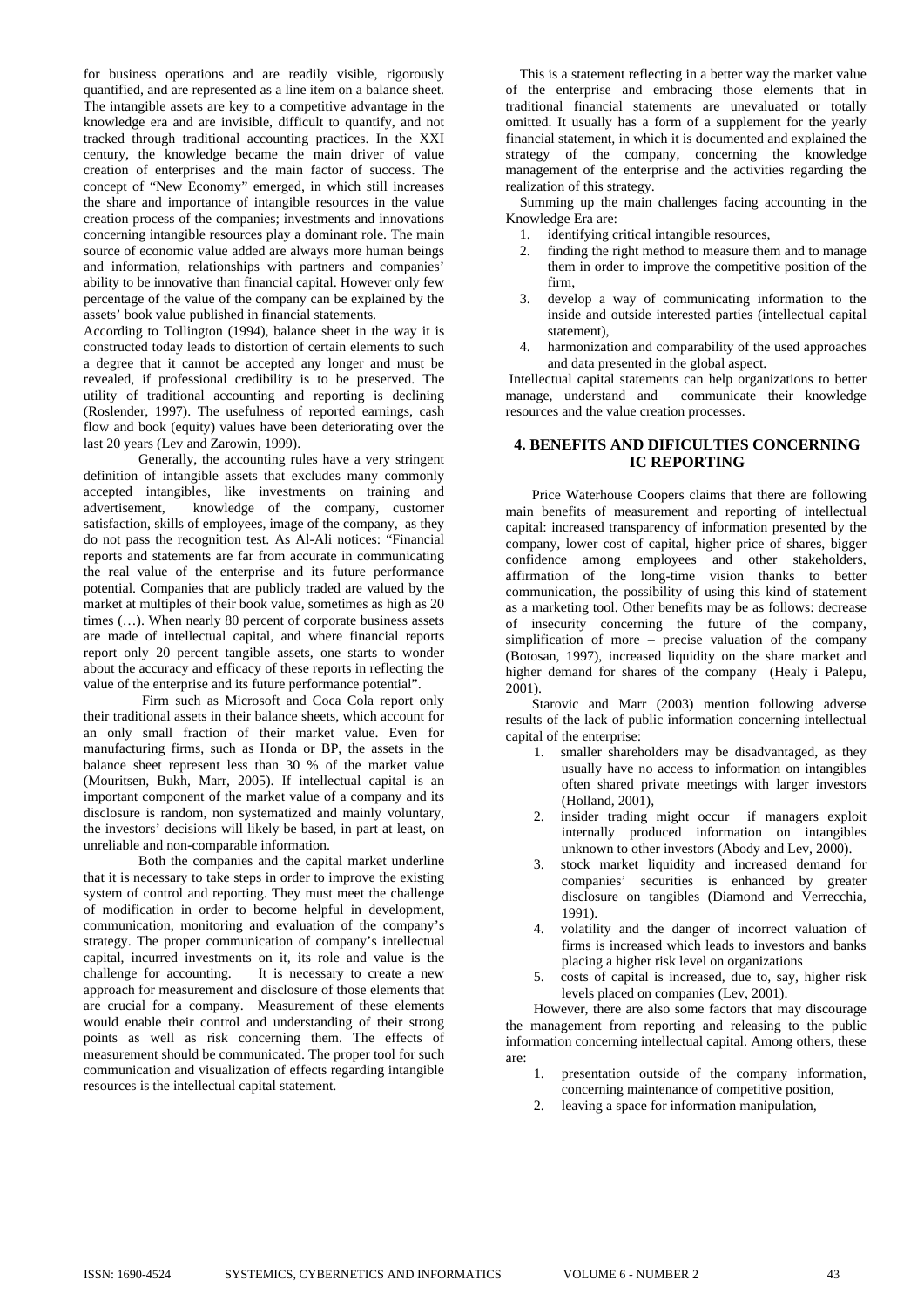for business operations and are readily visible, rigorously quantified, and are represented as a line item on a balance sheet. The intangible assets are key to a competitive advantage in the knowledge era and are invisible, difficult to quantify, and not tracked through traditional accounting practices. In the XXI century, the knowledge became the main driver of value creation of enterprises and the main factor of success. The concept of "New Economy" emerged, in which still increases the share and importance of intangible resources in the value creation process of the companies; investments and innovations concerning intangible resources play a dominant role. The main source of economic value added are always more human beings and information, relationships with partners and companies' ability to be innovative than financial capital. However only few percentage of the value of the company can be explained by the assets' book value published in financial statements.

According to Tollington (1994), balance sheet in the way it is constructed today leads to distortion of certain elements to such a degree that it cannot be accepted any longer and must be revealed, if professional credibility is to be preserved. The utility of traditional accounting and reporting is declining (Roslender, 1997). The usefulness of reported earnings, cash flow and book (equity) values have been deteriorating over the last 20 years (Lev and Zarowin, 1999).

Generally, the accounting rules have a very stringent definition of intangible assets that excludes many commonly accepted intangibles, like investments on training and advertisement, knowledge of the company, customer satisfaction, skills of employees, image of the company, as they do not pass the recognition test. As Al-Ali notices: "Financial reports and statements are far from accurate in communicating the real value of the enterprise and its future performance potential. Companies that are publicly traded are valued by the market at multiples of their book value, sometimes as high as 20 times (…). When nearly 80 percent of corporate business assets are made of intellectual capital, and where financial reports report only 20 percent tangible assets, one starts to wonder about the accuracy and efficacy of these reports in reflecting the value of the enterprise and its future performance potential".

 Firm such as Microsoft and Coca Cola report only their traditional assets in their balance sheets, which account for an only small fraction of their market value. Even for manufacturing firms, such as Honda or BP, the assets in the balance sheet represent less than 30 % of the market value (Mouritsen, Bukh, Marr, 2005). If intellectual capital is an important component of the market value of a company and its disclosure is random, non systematized and mainly voluntary, the investors' decisions will likely be based, in part at least, on unreliable and non-comparable information.

Both the companies and the capital market underline that it is necessary to take steps in order to improve the existing system of control and reporting. They must meet the challenge of modification in order to become helpful in development, communication, monitoring and evaluation of the company's strategy. The proper communication of company's intellectual capital, incurred investments on it, its role and value is the challenge for accounting. It is necessary to create a new approach for measurement and disclosure of those elements that are crucial for a company. Measurement of these elements would enable their control and understanding of their strong points as well as risk concerning them. The effects of measurement should be communicated. The proper tool for such communication and visualization of effects regarding intangible resources is the intellectual capital statement.

This is a statement reflecting in a better way the market value of the enterprise and embracing those elements that in traditional financial statements are unevaluated or totally omitted. It usually has a form of a supplement for the yearly financial statement, in which it is documented and explained the strategy of the company, concerning the knowledge management of the enterprise and the activities regarding the realization of this strategy.

Summing up the main challenges facing accounting in the Knowledge Era are:

- 
- 1. identifying critical intangible resources,<br>2. finding the right method to measure the finding the right method to measure them and to manage them in order to improve the competitive position of the firm,
- 3. develop a way of communicating information to the inside and outside interested parties (intellectual capital statement),
- 4. harmonization and comparability of the used approaches and data presented in the global aspect.

 Intellectual capital statements can help organizations to better manage, understand and communicate their knowledge resources and the value creation processes.

## **4. BENEFITS AND DIFICULTIES CONCERNING IC REPORTING**

Price Waterhouse Coopers claims that there are following main benefits of measurement and reporting of intellectual capital: increased transparency of information presented by the company, lower cost of capital, higher price of shares, bigger confidence among employees and other stakeholders, affirmation of the long-time vision thanks to better communication, the possibility of using this kind of statement as a marketing tool. Other benefits may be as follows: decrease of insecurity concerning the future of the company, simplification of more – precise valuation of the company (Botosan, 1997), increased liquidity on the share market and higher demand for shares of the company (Healy i Palepu, 2001).

Starovic and Marr (2003) mention following adverse results of the lack of public information concerning intellectual capital of the enterprise:

- 1. smaller shareholders may be disadvantaged, as they usually have no access to information on intangibles often shared private meetings with larger investors (Holland, 2001),
- 2. insider trading might occur if managers exploit internally produced information on intangibles unknown to other investors (Abody and Lev, 2000).
- 3. stock market liquidity and increased demand for companies' securities is enhanced by greater disclosure on tangibles (Diamond and Verrecchia, 1991).
- 4. volatility and the danger of incorrect valuation of firms is increased which leads to investors and banks placing a higher risk level on organizations
- 5. costs of capital is increased, due to, say, higher risk levels placed on companies (Lev, 2001).

 However, there are also some factors that may discourage the management from reporting and releasing to the public information concerning intellectual capital. Among others, these are:

- 1. presentation outside of the company information, concerning maintenance of competitive position,
- 2. leaving a space for information manipulation,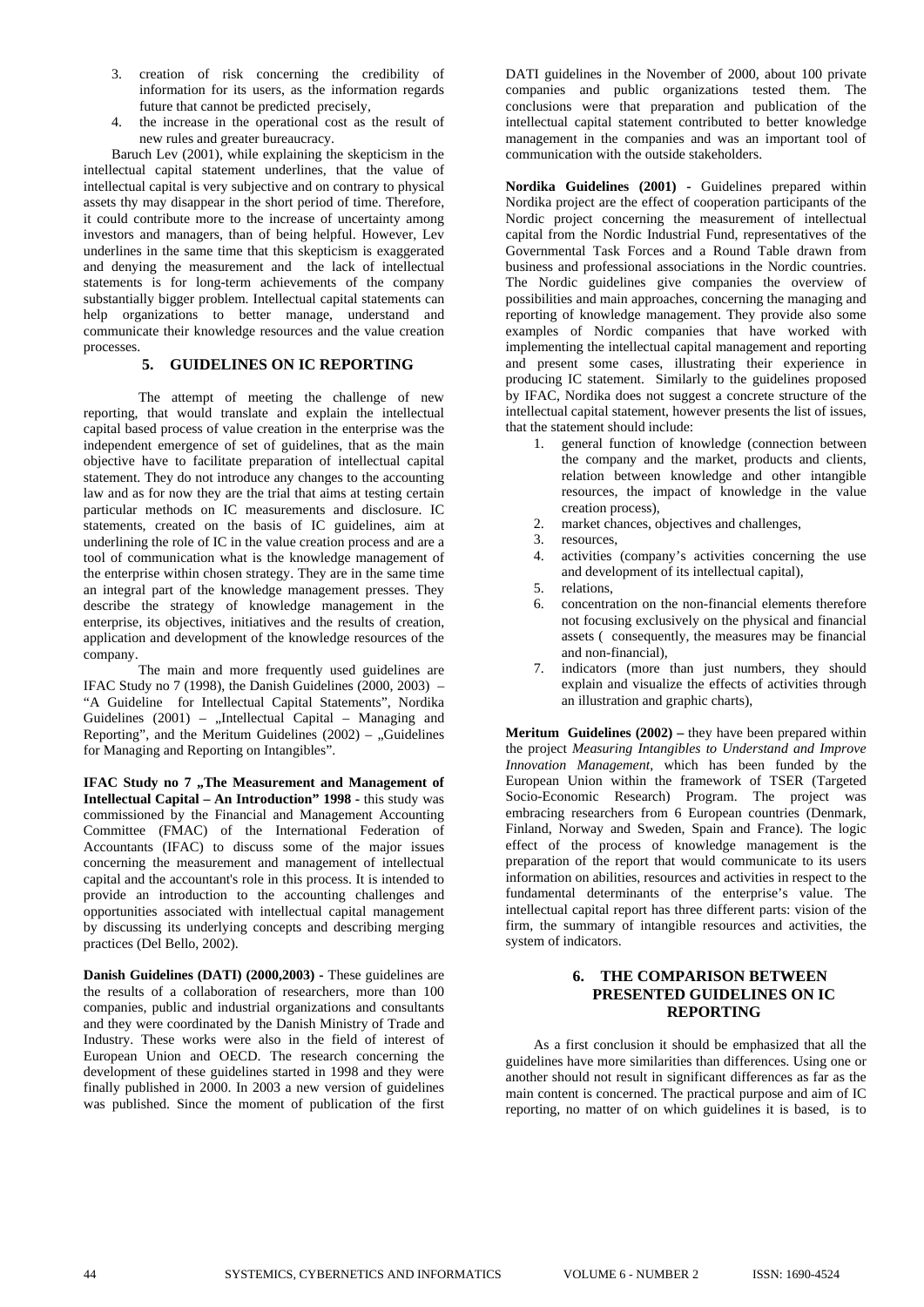- 3. creation of risk concerning the credibility of information for its users, as the information regards future that cannot be predicted precisely,
- 4. the increase in the operational cost as the result of new rules and greater bureaucracy.

Baruch Lev (2001), while explaining the skepticism in the intellectual capital statement underlines, that the value of intellectual capital is very subjective and on contrary to physical assets thy may disappear in the short period of time. Therefore, it could contribute more to the increase of uncertainty among investors and managers, than of being helpful. However, Lev underlines in the same time that this skepticism is exaggerated and denying the measurement and the lack of intellectual statements is for long-term achievements of the company substantially bigger problem. Intellectual capital statements can help organizations to better manage, understand and communicate their knowledge resources and the value creation processes.

### **5. GUIDELINES ON IC REPORTING**

The attempt of meeting the challenge of new reporting, that would translate and explain the intellectual capital based process of value creation in the enterprise was the independent emergence of set of guidelines, that as the main objective have to facilitate preparation of intellectual capital statement. They do not introduce any changes to the accounting law and as for now they are the trial that aims at testing certain particular methods on IC measurements and disclosure. IC statements, created on the basis of IC guidelines, aim at underlining the role of IC in the value creation process and are a tool of communication what is the knowledge management of the enterprise within chosen strategy. They are in the same time an integral part of the knowledge management presses. They describe the strategy of knowledge management in the enterprise, its objectives, initiatives and the results of creation, application and development of the knowledge resources of the company.

The main and more frequently used guidelines are IFAC Study no 7 (1998), the Danish Guidelines (2000, 2003) – "A Guideline for Intellectual Capital Statements", Nordika Guidelines  $(2001)$  – "Intellectual Capital – Managing and Reporting", and the Meritum Guidelines  $(2002)$  – "Guidelines for Managing and Reporting on Intangibles".

**IFAC Study no 7 ,, The Measurement and Management of Intellectual Capital – An Introduction" 1998 - this study was** commissioned by the Financial and Management Accounting Committee (FMAC) of the International Federation of Accountants (IFAC) to discuss some of the major issues concerning the measurement and management of intellectual capital and the accountant's role in this process. It is intended to provide an introduction to the accounting challenges and opportunities associated with intellectual capital management by discussing its underlying concepts and describing merging practices (Del Bello, 2002).

**Danish Guidelines (DATI) (2000,2003) -** These guidelines are the results of a collaboration of researchers, more than 100 companies, public and industrial organizations and consultants and they were coordinated by the Danish Ministry of Trade and Industry. These works were also in the field of interest of European Union and OECD. The research concerning the development of these guidelines started in 1998 and they were finally published in 2000. In 2003 a new version of guidelines was published. Since the moment of publication of the first DATI guidelines in the November of 2000, about 100 private companies and public organizations tested them. The conclusions were that preparation and publication of the intellectual capital statement contributed to better knowledge management in the companies and was an important tool of communication with the outside stakeholders.

**Nordika Guidelines (2001) -** Guidelines prepared within Nordika project are the effect of cooperation participants of the Nordic project concerning the measurement of intellectual capital from the Nordic Industrial Fund, representatives of the Governmental Task Forces and a Round Table drawn from business and professional associations in the Nordic countries. The Nordic guidelines give companies the overview of possibilities and main approaches, concerning the managing and reporting of knowledge management. They provide also some examples of Nordic companies that have worked with implementing the intellectual capital management and reporting and present some cases, illustrating their experience in producing IC statement. Similarly to the guidelines proposed by IFAC, Nordika does not suggest a concrete structure of the intellectual capital statement, however presents the list of issues, that the statement should include:

- 1. general function of knowledge (connection between the company and the market, products and clients, relation between knowledge and other intangible resources, the impact of knowledge in the value creation process),
- 2. market chances, objectives and challenges,
- 3. resources,
- 4. activities (company's activities concerning the use and development of its intellectual capital),
- 5. relations,
- 6. concentration on the non-financial elements therefore not focusing exclusively on the physical and financial assets ( consequently, the measures may be financial and non-financial),
- 7. indicators (more than just numbers, they should explain and visualize the effects of activities through an illustration and graphic charts),

**Meritum Guidelines (2002)** – they have been prepared within the project *Measuring Intangibles to Understand and Improve Innovation Management*, which has been funded by the European Union within the framework of TSER (Targeted Socio-Economic Research) Program. The project was embracing researchers from 6 European countries (Denmark, Finland, Norway and Sweden, Spain and France). The logic effect of the process of knowledge management is the preparation of the report that would communicate to its users information on abilities, resources and activities in respect to the fundamental determinants of the enterprise's value. The intellectual capital report has three different parts: vision of the firm, the summary of intangible resources and activities, the system of indicators.

#### **6. THE COMPARISON BETWEEN PRESENTED GUIDELINES ON IC REPORTING**

As a first conclusion it should be emphasized that all the guidelines have more similarities than differences. Using one or another should not result in significant differences as far as the main content is concerned. The practical purpose and aim of IC reporting, no matter of on which guidelines it is based, is to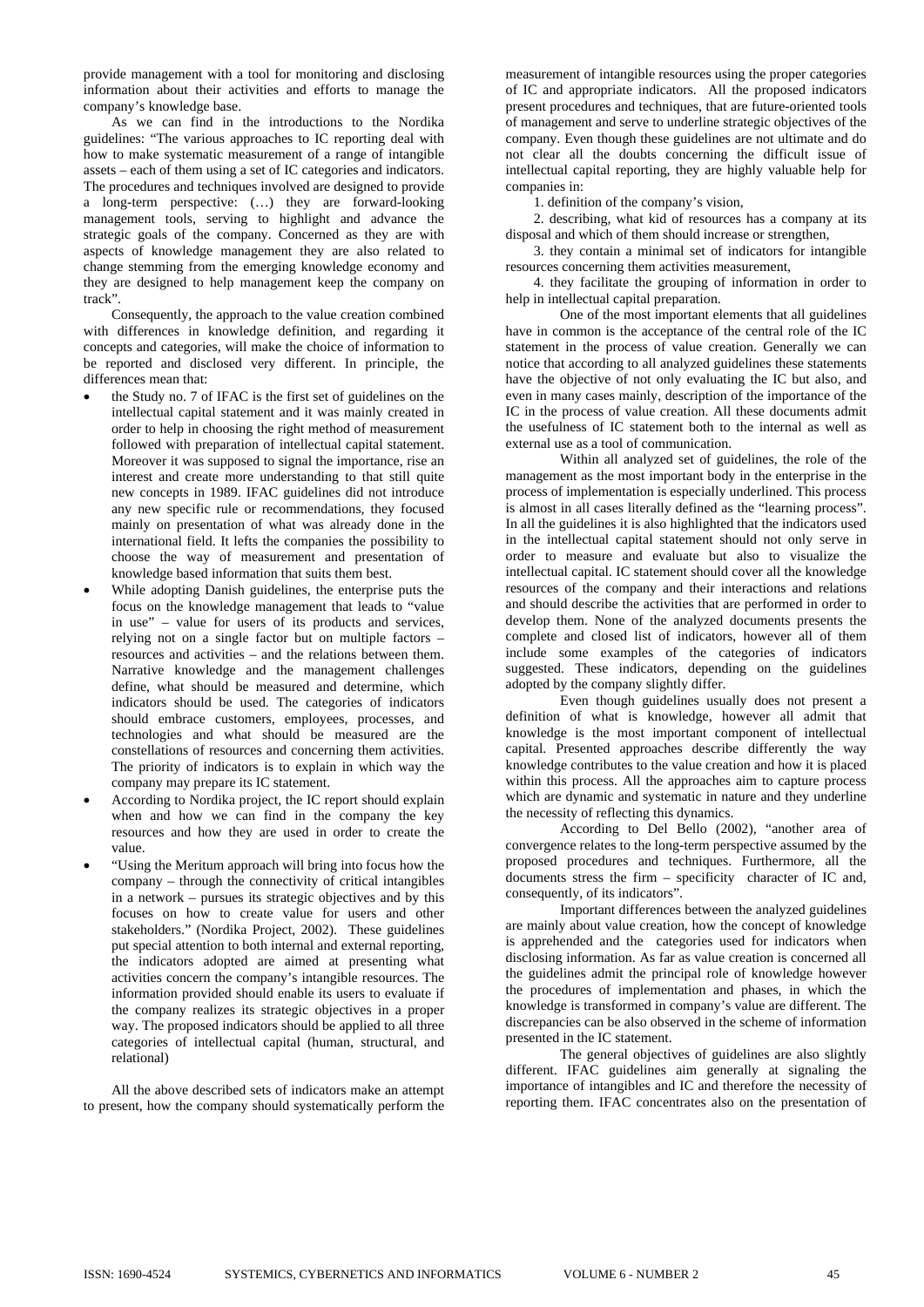provide management with a tool for monitoring and disclosing information about their activities and efforts to manage the company's knowledge base.

As we can find in the introductions to the Nordika guidelines: "The various approaches to IC reporting deal with how to make systematic measurement of a range of intangible assets – each of them using a set of IC categories and indicators. The procedures and techniques involved are designed to provide a long-term perspective: (…) they are forward-looking management tools, serving to highlight and advance the strategic goals of the company. Concerned as they are with aspects of knowledge management they are also related to change stemming from the emerging knowledge economy and they are designed to help management keep the company on track".

Consequently, the approach to the value creation combined with differences in knowledge definition, and regarding it concepts and categories, will make the choice of information to be reported and disclosed very different. In principle, the differences mean that:

- the Study no. 7 of IFAC is the first set of guidelines on the intellectual capital statement and it was mainly created in order to help in choosing the right method of measurement followed with preparation of intellectual capital statement. Moreover it was supposed to signal the importance, rise an interest and create more understanding to that still quite new concepts in 1989. IFAC guidelines did not introduce any new specific rule or recommendations, they focused mainly on presentation of what was already done in the international field. It lefts the companies the possibility to choose the way of measurement and presentation of knowledge based information that suits them best.
- While adopting Danish guidelines, the enterprise puts the focus on the knowledge management that leads to "value in use" – value for users of its products and services, relying not on a single factor but on multiple factors – resources and activities – and the relations between them. Narrative knowledge and the management challenges define, what should be measured and determine, which indicators should be used. The categories of indicators should embrace customers, employees, processes, and technologies and what should be measured are the constellations of resources and concerning them activities. The priority of indicators is to explain in which way the company may prepare its IC statement.
- According to Nordika project, the IC report should explain when and how we can find in the company the key resources and how they are used in order to create the value.
- "Using the Meritum approach will bring into focus how the company – through the connectivity of critical intangibles in a network – pursues its strategic objectives and by this focuses on how to create value for users and other stakeholders." (Nordika Project, 2002). These guidelines put special attention to both internal and external reporting, the indicators adopted are aimed at presenting what activities concern the company's intangible resources. The information provided should enable its users to evaluate if the company realizes its strategic objectives in a proper way. The proposed indicators should be applied to all three categories of intellectual capital (human, structural, and relational)

All the above described sets of indicators make an attempt to present, how the company should systematically perform the measurement of intangible resources using the proper categories of IC and appropriate indicators. All the proposed indicators present procedures and techniques, that are future-oriented tools of management and serve to underline strategic objectives of the company. Even though these guidelines are not ultimate and do not clear all the doubts concerning the difficult issue of intellectual capital reporting, they are highly valuable help for companies in:

1. definition of the company's vision,

2. describing, what kid of resources has a company at its disposal and which of them should increase or strengthen,

3. they contain a minimal set of indicators for intangible resources concerning them activities measurement,

4. they facilitate the grouping of information in order to help in intellectual capital preparation.

One of the most important elements that all guidelines have in common is the acceptance of the central role of the IC statement in the process of value creation. Generally we can notice that according to all analyzed guidelines these statements have the objective of not only evaluating the IC but also, and even in many cases mainly, description of the importance of the IC in the process of value creation. All these documents admit the usefulness of IC statement both to the internal as well as external use as a tool of communication.

Within all analyzed set of guidelines, the role of the management as the most important body in the enterprise in the process of implementation is especially underlined. This process is almost in all cases literally defined as the "learning process". In all the guidelines it is also highlighted that the indicators used in the intellectual capital statement should not only serve in order to measure and evaluate but also to visualize the intellectual capital. IC statement should cover all the knowledge resources of the company and their interactions and relations and should describe the activities that are performed in order to develop them. None of the analyzed documents presents the complete and closed list of indicators, however all of them include some examples of the categories of indicators suggested. These indicators, depending on the guidelines adopted by the company slightly differ.

Even though guidelines usually does not present a definition of what is knowledge, however all admit that knowledge is the most important component of intellectual capital. Presented approaches describe differently the way knowledge contributes to the value creation and how it is placed within this process. All the approaches aim to capture process which are dynamic and systematic in nature and they underline the necessity of reflecting this dynamics.

According to Del Bello (2002), "another area of convergence relates to the long-term perspective assumed by the proposed procedures and techniques. Furthermore, all the documents stress the firm – specificity character of IC and, consequently, of its indicators".

Important differences between the analyzed guidelines are mainly about value creation, how the concept of knowledge is apprehended and the categories used for indicators when disclosing information. As far as value creation is concerned all the guidelines admit the principal role of knowledge however the procedures of implementation and phases, in which the knowledge is transformed in company's value are different. The discrepancies can be also observed in the scheme of information presented in the IC statement.

The general objectives of guidelines are also slightly different. IFAC guidelines aim generally at signaling the importance of intangibles and IC and therefore the necessity of reporting them. IFAC concentrates also on the presentation of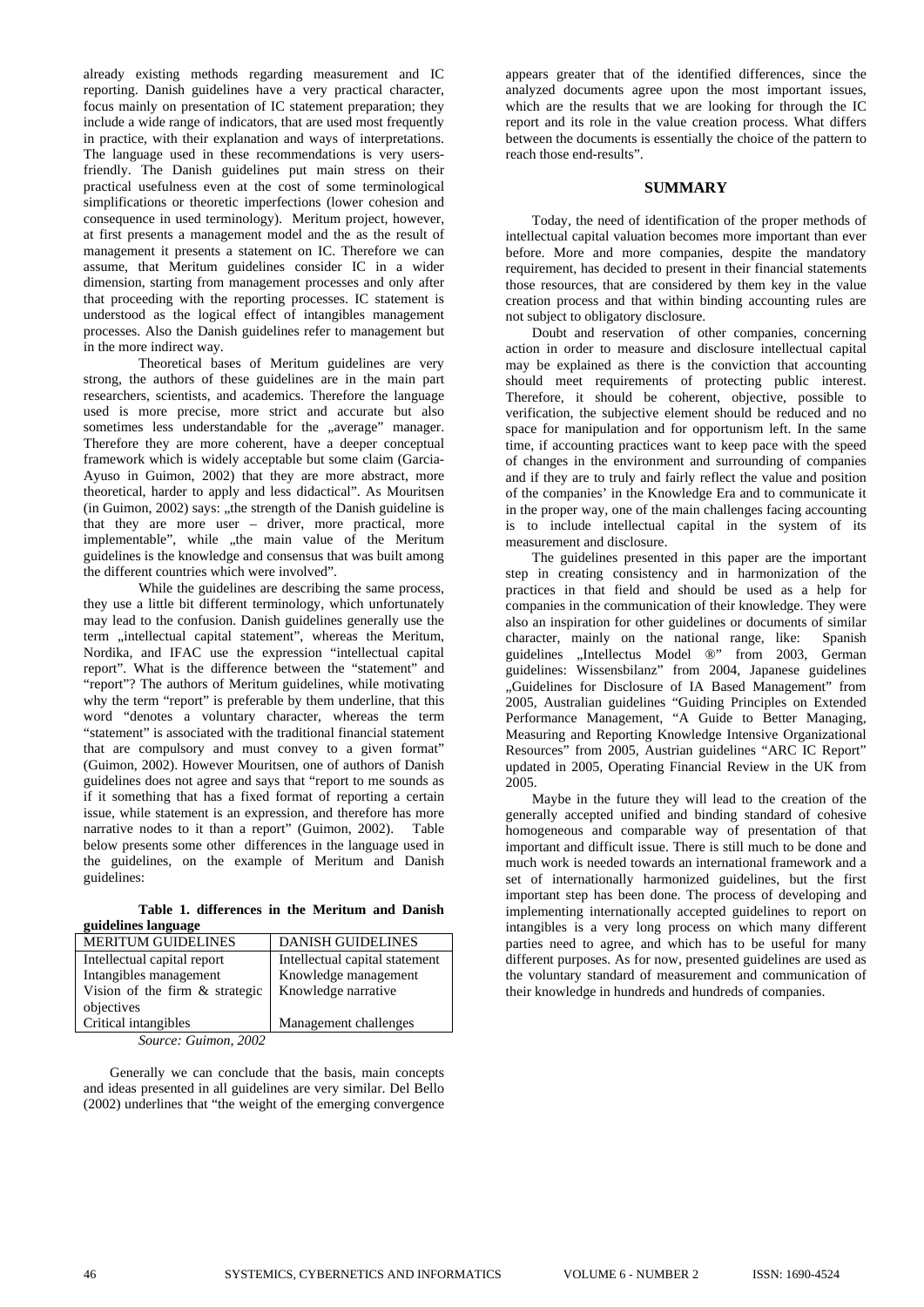already existing methods regarding measurement and IC reporting. Danish guidelines have a very practical character, focus mainly on presentation of IC statement preparation; they include a wide range of indicators, that are used most frequently in practice, with their explanation and ways of interpretations. The language used in these recommendations is very usersfriendly. The Danish guidelines put main stress on their practical usefulness even at the cost of some terminological simplifications or theoretic imperfections (lower cohesion and consequence in used terminology). Meritum project, however, at first presents a management model and the as the result of management it presents a statement on IC. Therefore we can assume, that Meritum guidelines consider IC in a wider dimension, starting from management processes and only after that proceeding with the reporting processes. IC statement is understood as the logical effect of intangibles management processes. Also the Danish guidelines refer to management but in the more indirect way.

Theoretical bases of Meritum guidelines are very strong, the authors of these guidelines are in the main part researchers, scientists, and academics. Therefore the language used is more precise, more strict and accurate but also sometimes less understandable for the "average" manager. Therefore they are more coherent, have a deeper conceptual framework which is widely acceptable but some claim (Garcia-Ayuso in Guimon, 2002) that they are more abstract, more theoretical, harder to apply and less didactical". As Mouritsen  $(in$  Guimon,  $2002)$  says: "the strength of the Danish guideline is that they are more user – driver, more practical, more implementable", while "the main value of the Meritum guidelines is the knowledge and consensus that was built among the different countries which were involved".

While the guidelines are describing the same process, they use a little bit different terminology, which unfortunately may lead to the confusion. Danish guidelines generally use the term "intellectual capital statement", whereas the Meritum, Nordika, and IFAC use the expression "intellectual capital report". What is the difference between the "statement" and "report"? The authors of Meritum guidelines, while motivating why the term "report" is preferable by them underline, that this word "denotes a voluntary character, whereas the term "statement" is associated with the traditional financial statement that are compulsory and must convey to a given format" (Guimon, 2002). However Mouritsen, one of authors of Danish guidelines does not agree and says that "report to me sounds as if it something that has a fixed format of reporting a certain issue, while statement is an expression, and therefore has more narrative nodes to it than a report" (Guimon, 2002). Table below presents some other differences in the language used in the guidelines, on the example of Meritum and Danish guidelines:

|                     |  | Table 1. differences in the Meritum and Danish |  |  |  |
|---------------------|--|------------------------------------------------|--|--|--|
| guidelines language |  |                                                |  |  |  |

| <b>MERITUM GUIDELINES</b>      | <b>DANISH GUIDELINES</b>       |  |  |  |
|--------------------------------|--------------------------------|--|--|--|
| Intellectual capital report    | Intellectual capital statement |  |  |  |
| Intangibles management         | Knowledge management           |  |  |  |
| Vision of the firm & strategic | Knowledge narrative            |  |  |  |
| objectives                     |                                |  |  |  |
| Critical intangibles           | Management challenges          |  |  |  |

*Source: Guimon, 2002* 

Generally we can conclude that the basis, main concepts and ideas presented in all guidelines are very similar. Del Bello (2002) underlines that "the weight of the emerging convergence appears greater that of the identified differences, since the analyzed documents agree upon the most important issues, which are the results that we are looking for through the IC report and its role in the value creation process. What differs between the documents is essentially the choice of the pattern to reach those end-results".

#### **SUMMARY**

Today, the need of identification of the proper methods of intellectual capital valuation becomes more important than ever before. More and more companies, despite the mandatory requirement, has decided to present in their financial statements those resources, that are considered by them key in the value creation process and that within binding accounting rules are not subject to obligatory disclosure.

Doubt and reservation of other companies, concerning action in order to measure and disclosure intellectual capital may be explained as there is the conviction that accounting should meet requirements of protecting public interest. Therefore, it should be coherent, objective, possible to verification, the subjective element should be reduced and no space for manipulation and for opportunism left. In the same time, if accounting practices want to keep pace with the speed of changes in the environment and surrounding of companies and if they are to truly and fairly reflect the value and position of the companies' in the Knowledge Era and to communicate it in the proper way, one of the main challenges facing accounting is to include intellectual capital in the system of its measurement and disclosure.

The guidelines presented in this paper are the important step in creating consistency and in harmonization of the practices in that field and should be used as a help for companies in the communication of their knowledge. They were also an inspiration for other guidelines or documents of similar character, mainly on the national range, like: Spanish guidelines "Intellectus Model ®" from 2003, German guidelines: Wissensbilanz" from 2004, Japanese guidelines "Guidelines for Disclosure of IA Based Management" from 2005, Australian guidelines "Guiding Principles on Extended Performance Management, "A Guide to Better Managing, Measuring and Reporting Knowledge Intensive Organizational Resources" from 2005, Austrian guidelines "ARC IC Report" updated in 2005, Operating Financial Review in the UK from 2005.

Maybe in the future they will lead to the creation of the generally accepted unified and binding standard of cohesive homogeneous and comparable way of presentation of that important and difficult issue. There is still much to be done and much work is needed towards an international framework and a set of internationally harmonized guidelines, but the first important step has been done. The process of developing and implementing internationally accepted guidelines to report on intangibles is a very long process on which many different parties need to agree, and which has to be useful for many different purposes. As for now, presented guidelines are used as the voluntary standard of measurement and communication of their knowledge in hundreds and hundreds of companies.